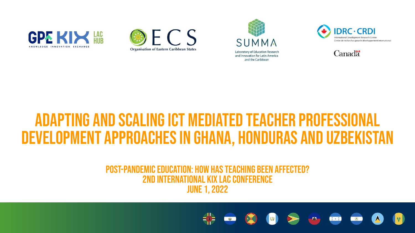









## ADAPTING AND SCALING ICT MEDIATED TEACHER PROFESSION development approaches in Ghana, Honduras and Uzbekistan

#### Post-pandemic education: how has teaching been affected? 2nd International KIX LAC Conference June 1, 2022

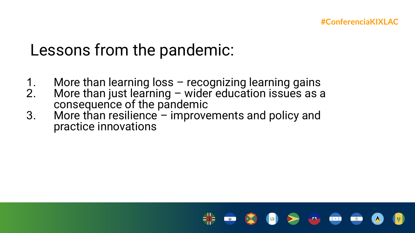## Lessons from the pandemic:

- 1. More than learning loss recognizing learning gains<br>2. More than just learning wider education issues as a
- More than just learning wider education issues as a consequence of the pandemic
- 3. More than resilience improvements and policy and practice innovations

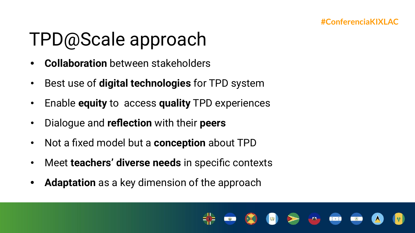# TPD@Scale approach

- **• Collaboration** between stakeholders
- Best use of **digital technologies** for TPD system
- Enable **equity** to access **quality** TPD experiences
- Dialogue and **reflection** with their **peers**
- Not a fixed model but a **conception** about TPD
- Meet **teachers' diverse needs** in specific contexts
- **• Adaptation** as a key dimension of the approach

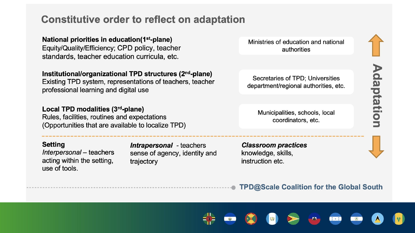#### **Constitutive order to reflect on adaptation**

National priorities in education(1<sup>st</sup>-plane) Equity/Quality/Efficiency; CPD policy, teacher standards, teacher education curricula, etc.

Institutional/organizational TPD structures (2<sup>nd</sup>-plane)

Existing TPD system, representations of teachers, teacher professional learning and digital use

Local TPD modalities (3rd-plane) Rules, facilities, routines and expectations (Opportunities that are available to localize TPD)

#### **Setting**

Interpersonal - teachers acting within the setting, use of tools.

**Intrapersonal** - teachers sense of agency, identity and trajectory

Ministries of education and national authorities

Secretaries of TPD; Universities department/regional authorities, etc.

Municipalities, schools, local coordinators, etc.

**Classroom practices** knowledge, skills, instruction etc.

Adaptation

**TPD@Scale Coalition for the Global South** 

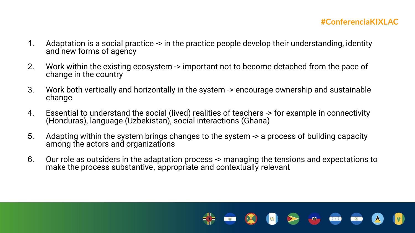#### **#ConferenciaKIXLAC**

- 1. Adaptation is a social practice -> in the practice people develop their understanding, identity and new forms of agency
- 2. Work within the existing ecosystem -> important not to become detached from the pace of change in the country
- 3. Work both vertically and horizontally in the system -> encourage ownership and sustainable change
- 4. Essential to understand the social (lived) realities of teachers -> for example in connectivity (Honduras), language (Uzbekistan), social interactions (Ghana)
- 5. Adapting within the system brings changes to the system -> a process of building capacity among the actors and organizations
- 6. Our role as outsiders in the adaptation process -> managing the tensions and expectations to make the process substantive, appropriate and contextually relevant